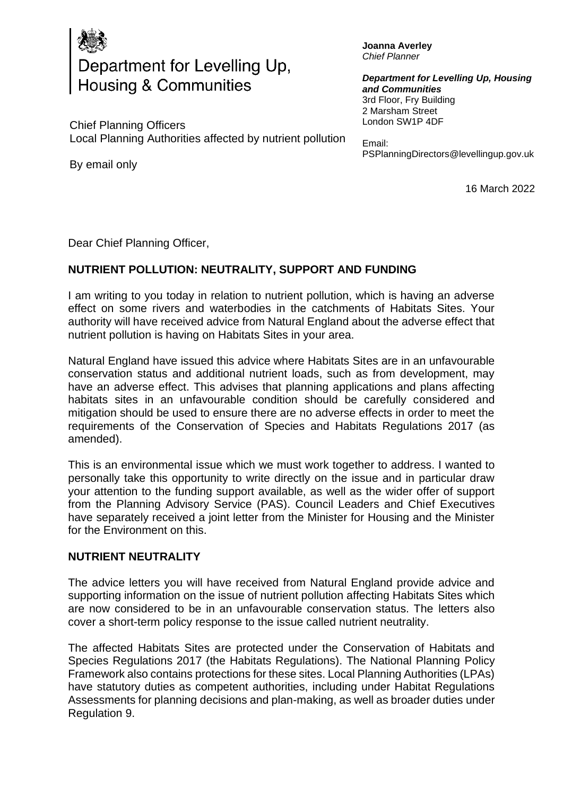

# Department for Levelling Up, Housing & Communities

Chief Planning Officers Local Planning Authorities affected by nutrient pollution

By email only

**Joanna Averley** *Chief Planner*

*Department for Levelling Up, Housing and Communities*  3rd Floor, Fry Building 2 Marsham Street London SW1P 4DF

Email: PSPlanningDirectors@levellingup.gov.uk

16 March 2022

Dear Chief Planning Officer,

## **NUTRIENT POLLUTION: NEUTRALITY, SUPPORT AND FUNDING**

I am writing to you today in relation to nutrient pollution, which is having an adverse effect on some rivers and waterbodies in the catchments of Habitats Sites. Your authority will have received advice from Natural England about the adverse effect that nutrient pollution is having on Habitats Sites in your area.

Natural England have issued this advice where Habitats Sites are in an unfavourable conservation status and additional nutrient loads, such as from development, may have an adverse effect. This advises that planning applications and plans affecting habitats sites in an unfavourable condition should be carefully considered and mitigation should be used to ensure there are no adverse effects in order to meet the requirements of the Conservation of Species and Habitats Regulations 2017 (as amended).

This is an environmental issue which we must work together to address. I wanted to personally take this opportunity to write directly on the issue and in particular draw your attention to the funding support available, as well as the wider offer of support from the Planning Advisory Service (PAS). Council Leaders and Chief Executives have separately received a joint letter from the Minister for Housing and the Minister for the Environment on this.

#### **NUTRIENT NEUTRALITY**

The advice letters you will have received from Natural England provide advice and supporting information on the issue of nutrient pollution affecting Habitats Sites which are now considered to be in an unfavourable conservation status. The letters also cover a short-term policy response to the issue called nutrient neutrality.

The affected Habitats Sites are protected under the Conservation of Habitats and Species Regulations 2017 (the Habitats Regulations). The National Planning Policy Framework also contains protections for these sites. Local Planning Authorities (LPAs) have statutory duties as competent authorities, including under Habitat Regulations Assessments for planning decisions and plan-making, as well as broader duties under Regulation 9.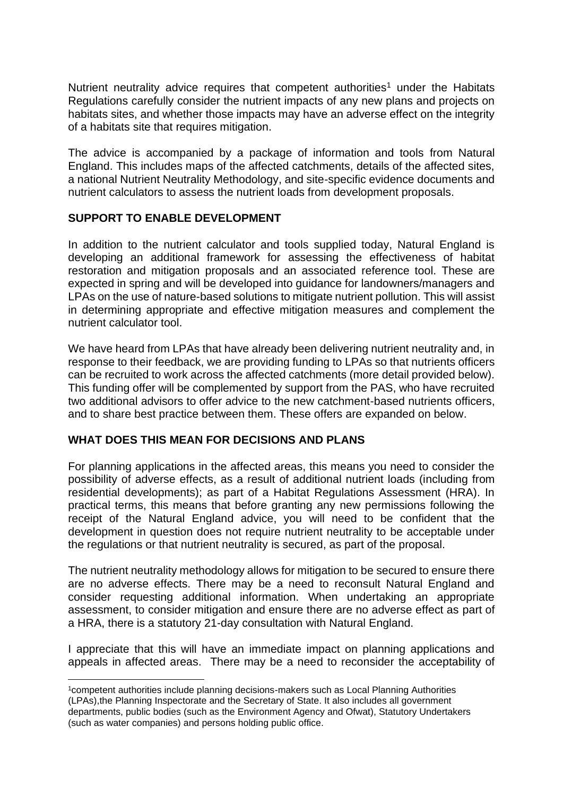Nutrient neutrality advice requires that competent authorities<sup>1</sup> under the Habitats Regulations carefully consider the nutrient impacts of any new plans and projects on habitats sites, and whether those impacts may have an adverse effect on the integrity of a habitats site that requires mitigation.

The advice is accompanied by a package of information and tools from Natural England. This includes maps of the affected catchments, details of the affected sites, a national Nutrient Neutrality Methodology, and site-specific evidence documents and nutrient calculators to assess the nutrient loads from development proposals.

#### **SUPPORT TO ENABLE DEVELOPMENT**

In addition to the nutrient calculator and tools supplied today, Natural England is developing an additional framework for assessing the effectiveness of habitat restoration and mitigation proposals and an associated reference tool. These are expected in spring and will be developed into guidance for landowners/managers and LPAs on the use of nature-based solutions to mitigate nutrient pollution. This will assist in determining appropriate and effective mitigation measures and complement the nutrient calculator tool.

We have heard from LPAs that have already been delivering nutrient neutrality and, in response to their feedback, we are providing funding to LPAs so that nutrients officers can be recruited to work across the affected catchments (more detail provided below). This funding offer will be complemented by support from the PAS, who have recruited two additional advisors to offer advice to the new catchment-based nutrients officers, and to share best practice between them. These offers are expanded on below.

## **WHAT DOES THIS MEAN FOR DECISIONS AND PLANS**

For planning applications in the affected areas, this means you need to consider the possibility of adverse effects, as a result of additional nutrient loads (including from residential developments); as part of a Habitat Regulations Assessment (HRA). In practical terms, this means that before granting any new permissions following the receipt of the Natural England advice, you will need to be confident that the development in question does not require nutrient neutrality to be acceptable under the regulations or that nutrient neutrality is secured, as part of the proposal.

The nutrient neutrality methodology allows for mitigation to be secured to ensure there are no adverse effects. There may be a need to reconsult Natural England and consider requesting additional information. When undertaking an appropriate assessment, to consider mitigation and ensure there are no adverse effect as part of a HRA, there is a statutory 21-day consultation with Natural England.

I appreciate that this will have an immediate impact on planning applications and appeals in affected areas. There may be a need to reconsider the acceptability of

<sup>1</sup>competent authorities include planning decisions-makers such as Local Planning Authorities (LPAs),the Planning Inspectorate and the Secretary of State. It also includes all government departments, public bodies (such as the Environment Agency and Ofwat), Statutory Undertakers (such as water companies) and persons holding public office.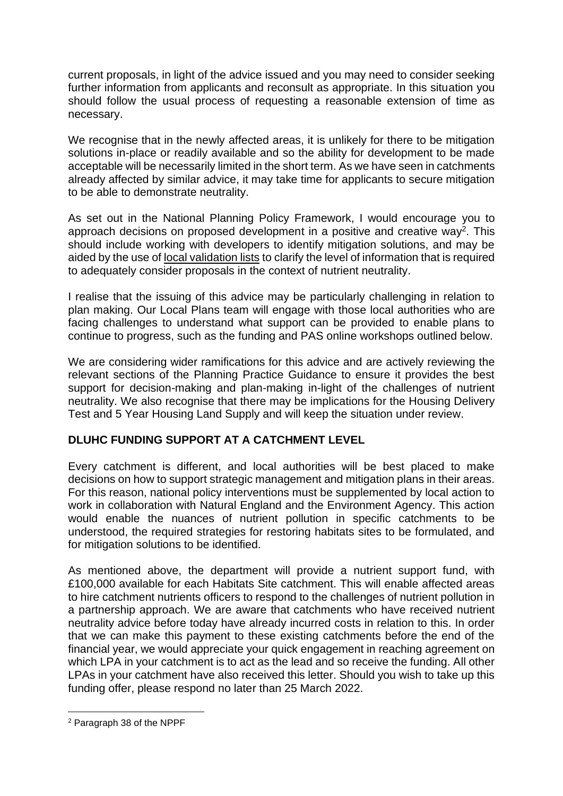current proposals, in light of the advice issued and you may need to consider seeking further information from applicants and reconsult as appropriate. In this situation you should follow the usual process of requesting a reasonable extension of time as necessary.

We recognise that in the newly affected areas, it is unlikely for there to be mitigation solutions in-place or readily available and so the ability for development to be made acceptable will be necessarily limited in the short term. As we have seen in catchments already affected by similar advice, it may take time for applicants to secure mitigation to be able to demonstrate neutrality.

As set out in the National Planning Policy Framework, I would encourage you to approach decisions on proposed development in a positive and creative way<sup>2</sup>. This should include working with developers to identify mitigation solutions, and may be aided by the use of [local validation lists](https://www.gov.uk/guidance/making-an-application#Local-information-requirements) to clarify the level of information that is required to adequately consider proposals in the context of nutrient neutrality.

I realise that the issuing of this advice may be particularly challenging in relation to plan making. Our Local Plans team will engage with those local authorities who are facing challenges to understand what support can be provided to enable plans to continue to progress, such as the funding and PAS online workshops outlined below.

We are considering wider ramifications for this advice and are actively reviewing the relevant sections of the Planning Practice Guidance to ensure it provides the best support for decision-making and plan-making in-light of the challenges of nutrient neutrality. We also recognise that there may be implications for the Housing Delivery Test and 5 Year Housing Land Supply and will keep the situation under review.

## **DLUHC FUNDING SUPPORT AT A CATCHMENT LEVEL**

Every catchment is different, and local authorities will be best placed to make decisions on how to support strategic management and mitigation plans in their areas. For this reason, national policy interventions must be supplemented by local action to work in collaboration with Natural England and the Environment Agency. This action would enable the nuances of nutrient pollution in specific catchments to be understood, the required strategies for restoring habitats sites to be formulated, and for mitigation solutions to be identified.

As mentioned above, the department will provide a nutrient support fund, with £100,000 available for each Habitats Site catchment. This will enable affected areas to hire catchment nutrients officers to respond to the challenges of nutrient pollution in a partnership approach. We are aware that catchments who have received nutrient neutrality advice before today have already incurred costs in relation to this. In order that we can make this payment to these existing catchments before the end of the financial year, we would appreciate your quick engagement in reaching agreement on which LPA in your catchment is to act as the lead and so receive the funding. All other LPAs in your catchment have also received this letter. Should you wish to take up this funding offer, please respond no later than 25 March 2022.

<sup>2</sup> Paragraph 38 of the NPPF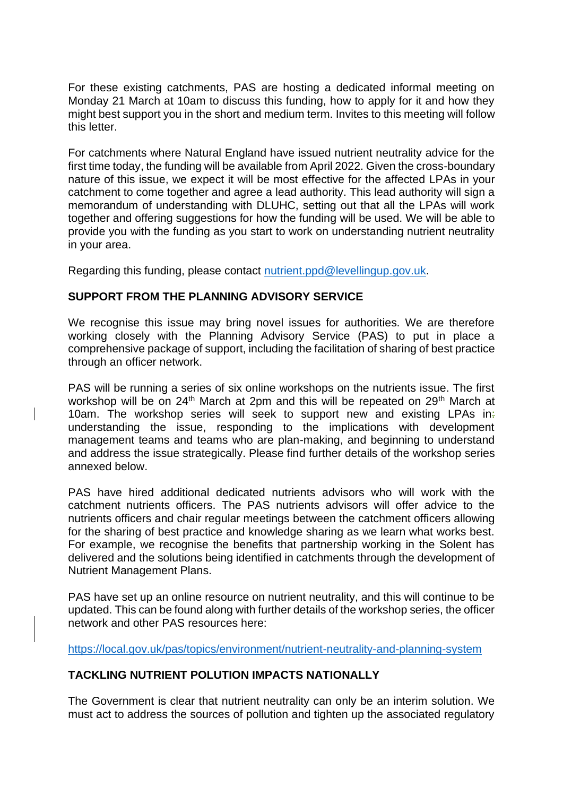For these existing catchments, PAS are hosting a dedicated informal meeting on Monday 21 March at 10am to discuss this funding, how to apply for it and how they might best support you in the short and medium term. Invites to this meeting will follow this letter.

For catchments where Natural England have issued nutrient neutrality advice for the first time today, the funding will be available from April 2022. Given the cross-boundary nature of this issue, we expect it will be most effective for the affected LPAs in your catchment to come together and agree a lead authority. This lead authority will sign a memorandum of understanding with DLUHC, setting out that all the LPAs will work together and offering suggestions for how the funding will be used. We will be able to provide you with the funding as you start to work on understanding nutrient neutrality in your area.

Regarding this funding, please contact [nutrient.ppd@levellingup.gov.uk.](mailto:nutrient.ppd@levellingup.gov.uk)

## **SUPPORT FROM THE PLANNING ADVISORY SERVICE**

We recognise this issue may bring novel issues for authorities. We are therefore working closely with the Planning Advisory Service (PAS) to put in place a comprehensive package of support, including the facilitation of sharing of best practice through an officer network.

PAS will be running a series of six online workshops on the nutrients issue. The first workshop will be on 24<sup>th</sup> March at 2pm and this will be repeated on 29<sup>th</sup> March at 10am. The workshop series will seek to support new and existing LPAs in: understanding the issue, responding to the implications with development management teams and teams who are plan-making, and beginning to understand and address the issue strategically. Please find further details of the workshop series annexed below.

PAS have hired additional dedicated nutrients advisors who will work with the catchment nutrients officers. The PAS nutrients advisors will offer advice to the nutrients officers and chair regular meetings between the catchment officers allowing for the sharing of best practice and knowledge sharing as we learn what works best. For example, we recognise the benefits that partnership working in the Solent has delivered and the solutions being identified in catchments through the development of Nutrient Management Plans.

PAS have set up an online resource on nutrient neutrality, and this will continue to be updated. This can be found along with further details of the workshop series, the officer network and other PAS resources here:

<https://local.gov.uk/pas/topics/environment/nutrient-neutrality-and-planning-system>

## **TACKLING NUTRIENT POLUTION IMPACTS NATIONALLY**

The Government is clear that nutrient neutrality can only be an interim solution. We must act to address the sources of pollution and tighten up the associated regulatory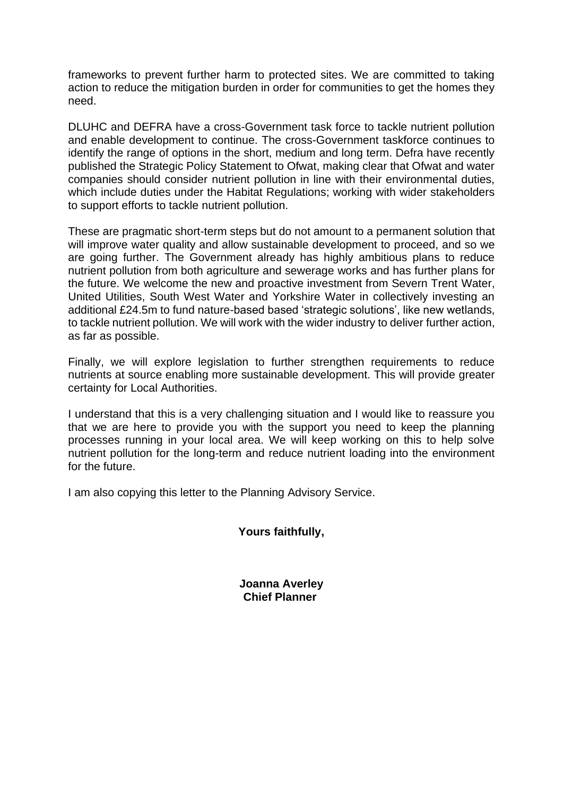frameworks to prevent further harm to protected sites. We are committed to taking action to reduce the mitigation burden in order for communities to get the homes they need.

DLUHC and DEFRA have a cross-Government task force to tackle nutrient pollution and enable development to continue. The cross-Government taskforce continues to identify the range of options in the short, medium and long term. Defra have recently published the Strategic Policy Statement to Ofwat, making clear that Ofwat and water companies should consider nutrient pollution in line with their environmental duties, which include duties under the Habitat Regulations; working with wider stakeholders to support efforts to tackle nutrient pollution.

These are pragmatic short-term steps but do not amount to a permanent solution that will improve water quality and allow sustainable development to proceed, and so we are going further. The Government already has highly ambitious plans to reduce nutrient pollution from both agriculture and sewerage works and has further plans for the future. We welcome the new and proactive investment from Severn Trent Water, United Utilities, South West Water and Yorkshire Water in collectively investing an additional £24.5m to fund nature-based based 'strategic solutions', like new wetlands, to tackle nutrient pollution. We will work with the wider industry to deliver further action, as far as possible.

Finally, we will explore legislation to further strengthen requirements to reduce nutrients at source enabling more sustainable development. This will provide greater certainty for Local Authorities.

I understand that this is a very challenging situation and I would like to reassure you that we are here to provide you with the support you need to keep the planning processes running in your local area. We will keep working on this to help solve nutrient pollution for the long-term and reduce nutrient loading into the environment for the future.

I am also copying this letter to the Planning Advisory Service.

**Yours faithfully,**

**Joanna Averley Chief Planner**